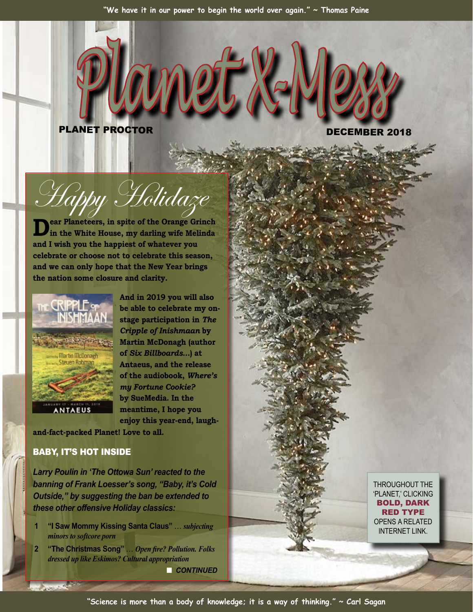*Planet X-Mess*

PLANET PROCTOR DECEMBER 2018

THROUGHOUT THE 'PLANET,' CLICKING BOLD, DARK RED TYPE OPENS A RELATED INTERNET LINK.

bu Holidaz

**Dear Planeteers, in spite of the Orange Grinch in the White House, my darling wife Melinda and I wish you the happiest of whatever you celebrate or choose not to celebrate this season, and we can only hope that the New Year brings the nation some closure and clarity.**



**And in 2019 you will also be able to celebrate my onstage participation in** *The Cripple of Inishmaan* **by Martin McDonagh (author of** *Six Billboards…***) at Antaeus, and the release of the audiobook,** *Where's my Fortune Cookie?* **by SueMedia. In the meantime, I hope you enjoy this year-end, laugh-**

**and-fact-packed Planet! Love to all.**

# BABY, IT'S HOT INSIDE

**DESCRIPTION** 

*Larry Poulin in 'The Ottowa Sun' reacted to the banning of Frank Loesser's song, "Baby, it's Cold Outside," by suggesting the ban be extended to these other offensive Holiday classics:*

- **1 "I Saw Mommy Kissing Santa Claus"** … *subjecting minors to softcore porn*
- **2 "The Christmas Song"** … *Open fire? Pollution. Folks dressed up like Eskimos? Cultural appropriation*

**n** CONTINUED

**"Science is more than a body of knowledge; it is a way of thinking." ~ Carl Sagan**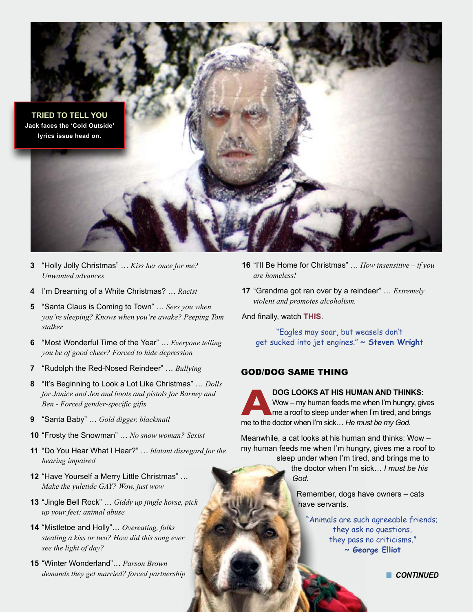

- **3** "Holly Jolly Christmas" … *Kiss her once for me? Unwanted advances*
- **4** I'm Dreaming of a White Christmas? … *Racist*
- **5** "Santa Claus is Coming to Town" … *Sees you when you're sleeping? Knows when you're awake? Peeping Tom stalker*
- **6** "Most Wonderful Time of the Year" … *Everyone telling you be of good cheer? Forced to hide depression*
- **7** "Rudolph the Red-Nosed Reindeer" … *Bullying*
- **8** "It's Beginning to Look a Lot Like Christmas" … *Dolls for Janice and Jen and boots and pistols for Barney and Ben - Forced gender-specific gifts*
- **9** "Santa Baby" … *Gold digger, blackmail*
- **10** "Frosty the Snowman" … *No snow woman? Sexist*
- **11** "Do You Hear What I Hear?" … *blatant disregard for the hearing impaired*
- **12** "Have Yourself a Merry Little Christmas" … *Make the yuletide GAY? Wow, just wow*
- **13** "Jingle Bell Rock" … *Giddy up jingle horse, pick up your feet: animal abuse*
- **14** "Mistletoe and Holly"… *Overeating, folks stealing a kiss or two? How did this song ever see the light of day?*
- **15** "Winter Wonderland"… *Parson Brown demands they get married? forced partnership*
- **16** "I'll Be Home for Christmas" … *How insensitive if you are homeless!*
- **17** "Grandma got ran over by a reindeer" … *Extremely violent and promotes alcoholism.*

And finally, watch **[THIS](http://www.popscreen.com/v/9siKE/Baby-Its-Cold-Outside-Betty-Garrett-and-Red-Skelton-from-Neptunes-Daughter)**.

"Eagles may soar, but weasels don't get sucked into jet engines." **~ Steven Wright**

### GOD/DOG SAME THING

**ABOG LOOKS AT HIS HUMAN AND THINKS:**<br>Wow – my human feeds me when I'm hungry, gives a roof to sleep under when I'm tired, and bring<br>me to the doctor when I'm sick... He must be my God. Wow – my human feeds me when I'm hungry, gives me a roof to sleep under when I'm tired, and brings me to the doctor when I'm sick… *He must be my God*.

Meanwhile, a cat looks at his human and thinks: Wow – my human feeds me when I'm hungry, gives me a roof to sleep under when I'm tired, and brings me to

the doctor when I'm sick… *I must be his God.*

Remember, dogs have owners – cats have servants.

"Animals are such agreeable friends; they ask no questions, they pass no criticisms." **~ George Elliot**

**n** CONTINUED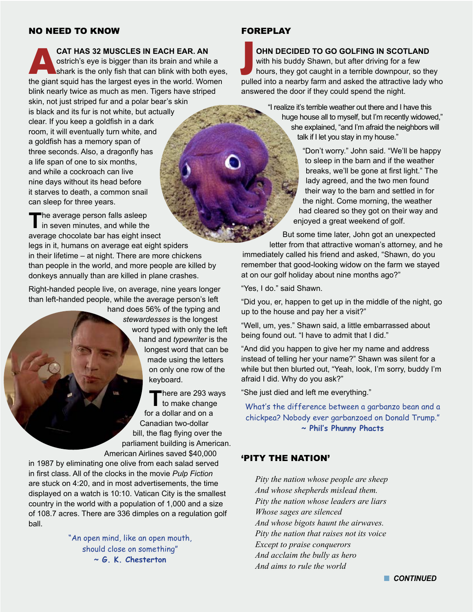### NO NEED TO KNOW

**CAT HAS 32 MUSCLES IN EACH EAR. AN**<br>
ostrich's eye is bigger than its brain and while a<br>
shark is the only fish that can blink with both eyes,<br>
the gight equid bee the largest eyes in the world. We<br>man ostrich's eye is bigger than its brain and while a the giant squid has the largest eyes in the world. Women blink nearly twice as much as men. Tigers have striped skin, not just striped fur and a polar bear's skin is black and its fur is not white, but actually clear. If you keep a goldfish in a dark room, it will eventually turn white, and a goldfish has a memory span of three seconds. Also, a dragonfly has a life span of one to six months, and while a cockroach can live nine days without its head before

it starves to death, a common snail can sleep for three years. The average person falls asleep<br>in seven minutes, and while the average chocolate bar has eight insect

legs in it, humans on average eat eight spiders in their lifetime – at night. There are more chickens than people in the world, and more people are killed by donkeys annually than are killed in plane crashes.

Right-handed people live, on average, nine years longer than left-handed people, while the average person's left

hand does 56% of the typing and *stewardesses* is the longest word typed with only the left hand and *typewriter* is the longest word that can be made using the letters on only one row of the keyboard.

There are 293 ways<br>
to make change for a dollar and on a Canadian two-dollar bill, the flag flying over the parliament building is American. American Airlines saved \$40,000

in 1987 by eliminating one olive from each salad served in first class. All of the clocks in the movie *Pulp Fiction* are stuck on 4:20, and in most advertisements, the time displayed on a watch is 10:10. Vatican City is the smallest country in the world with a population of 1,000 and a size of 108.7 acres. There are 336 dimples on a regulation golf ball.

> "An open mind, like an open mouth, should close on something" **~ G. K. Chesterton**

# FOREPLAY

**OHN DECIDED TO GO GOLFING IN SCOTLAND** with his buddy Shawn, but after driving for a few hours, they got caught in a terrible downpour, so they pulled into a nearby farm and asked the attractive lady who answered the door if they could spend the night.

> "I realize it's terrible weather out there and I have this huge house all to myself, but I'm recently widowed," she explained, "and I'm afraid the neighbors will talk if I let you stay in my house."

> > "Don't worry." John said. "We'll be happy to sleep in the barn and if the weather breaks, we'll be gone at first light." The lady agreed, and the two men found their way to the barn and settled in for the night. Come morning, the weather had cleared so they got on their way and enjoyed a great weekend of golf.

But some time later, John got an unexpected letter from that attractive woman's attorney, and he immediately called his friend and asked, "Shawn, do you remember that good-looking widow on the farm we stayed at on our golf holiday about nine months ago?"

"Yes, I do." said Shawn.

"Did you, er, happen to get up in the middle of the night, go up to the house and pay her a visit?"

"Well, um, yes." Shawn said, a little embarrassed about being found out. "I have to admit that I did."

"And did you happen to give her my name and address instead of telling her your name?" Shawn was silent for a while but then blurted out, "Yeah, look, I'm sorry, buddy I'm afraid I did. Why do you ask?"

"She just died and left me everything."

What's the difference between a garbanzo bean and a chickpea? Nobody ever garbanzoed on Donald Trump." **~ Phil's Phunny Phacts**

## 'PITY THE NATION'

*Pity the nation whose people are sheep And whose shepherds mislead them. Pity the nation whose leaders are liars Whose sages are silenced And whose bigots haunt the airwaves. Pity the nation that raises not its voice Except to praise conquerors And acclaim the bully as hero And aims to rule the world*

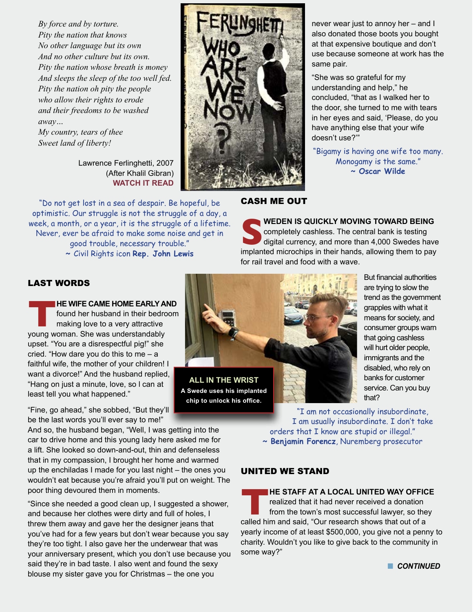*By force and by torture. Pity the nation that knows No other language but its own And no other culture but its own. Pity the nation whose breath is money And sleeps the sleep of the too well fed. Pity the nation oh pity the people who allow their rights to erode and their freedoms to be washed away…*

*My country, tears of thee Sweet land of liberty!*

> Lawrence Ferlinghetti, 2007 (After Khalil Gibran) **[WATCH IT READ](https://www.youtube.com/watch?v=lKCblAJtzgE)**

"Do not get lost in a sea of despair. Be hopeful, be optimistic. Our struggle is not the struggle of a day, a week, a month, or a year, it is the struggle of a lifetime. Never, ever be afraid to make some noise and get in good trouble, necessary trouble." **~** Civil Rights icon **Rep. John Lewis**



never wear just to annoy her – and I also donated those boots you bought at that expensive boutique and don't use because someone at work has the same pair.

"She was so grateful for my understanding and help," he concluded, "that as I walked her to the door, she turned to me with tears in her eyes and said, 'Please, do you have anything else that your wife doesn't use?'"

"Bigamy is having one wife too many. Monogamy is the same." **~ Oscar Wilde**

# CASH ME OUT

**SPECIED IS QUICKLY MOVING TOWARD BEING**<br>completely cashless. The central bank is testing<br>digital currency, and more than 4,000 Swedes have<br>implanted microchips in their hands. allowing them to pay completely cashless. The central bank is testing digital currency, and more than 4,000 Swedes have implanted microchips in their hands, allowing them to pay for rail travel and food with a wave.

# LAST WORDS

**THE WIFE CAME HOME EARLY AND**<br>
found her husband in their bedroom<br>
making love to a very attractive<br>
young woman. She was understandably found her husband in their bedroom making love to a very attractive upset. "You are a disrespectful pig!" she cried. "How dare you do this to me – a faithful wife, the mother of your children! I want a divorce!" And the husband replied, "Hang on just a minute, love, so l can at least tell you what happened."

"Fine, go ahead," she sobbed, "But they'll be the last words you'll ever say to me!"

And so, the husband began, "Well, I was getting into the car to drive home and this young lady here asked me for a lift. She looked so down-and-out, thin and defenseless that in my compassion, I brought her home and warmed up the enchiladas I made for you last night – the ones you wouldn't eat because you're afraid you'll put on weight. The poor thing devoured them in moments.

"Since she needed a good clean up, I suggested a shower, and because her clothes were dirty and full of holes, I threw them away and gave her the designer jeans that you've had for a few years but don't wear because you say they're too tight. I also gave her the underwear that was your anniversary present, which you don't use because you said they're in bad taste. I also went and found the sexy blouse my sister gave you for Christmas – the one you



**chip to unlock his office.**

But financial authorities are trying to slow the trend as the government grapples with what it means for society, and consumer groups warn that going cashless will hurt older people, immigrants and the disabled, who rely on banks for customer service. Can you buy that?

"I am not occasionally insubordinate, I am usually insubordinate. I don't take orders that I know are stupid or illegal." **~ Benjamin Forencz**, Nuremberg prosecutor

# UNITED WE STAND

**THE STAFF AT A LOCAL UNITED WAY OFFICE**<br>
realized that it had never received a donation<br>
from the town's most successful lawyer, so they<br>
called him and said, "Our research shows that out of a realized that it had never received a donation from the town's most successful lawyer, so they yearly income of at least \$500,000, you give not a penny to charity. Wouldn't you like to give back to the community in some way?"